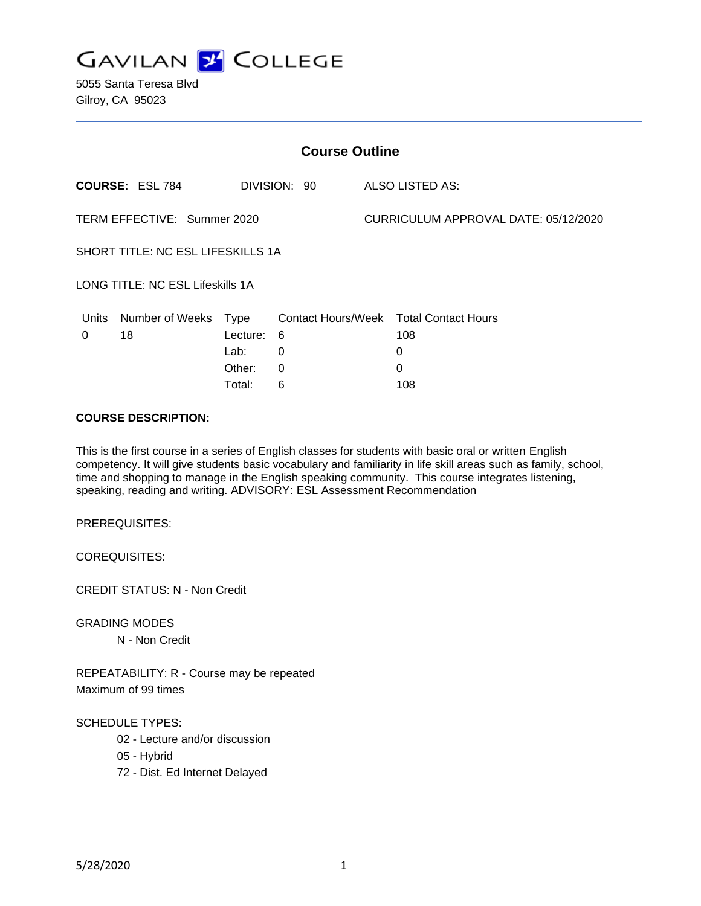

| <b>Course Outline</b>             |                        |          |              |  |                                        |  |
|-----------------------------------|------------------------|----------|--------------|--|----------------------------------------|--|
|                                   | <b>COURSE: ESL 784</b> |          | DIVISION: 90 |  | ALSO LISTED AS:                        |  |
| TERM EFFECTIVE: Summer 2020       |                        |          |              |  | CURRICULUM APPROVAL DATE: 05/12/2020   |  |
| SHORT TITLE: NC ESL LIFESKILLS 1A |                        |          |              |  |                                        |  |
| LONG TITLE: NC ESL Lifeskills 1A  |                        |          |              |  |                                        |  |
| Units                             | Number of Weeks Type   |          |              |  | Contact Hours/Week Total Contact Hours |  |
| 0                                 | 18                     | Lecture: | 6            |  | 108                                    |  |
|                                   |                        | Lab:     | $\Omega$     |  | 0                                      |  |
|                                   |                        | Other:   | $\Omega$     |  | 0                                      |  |
|                                   |                        | Total:   | 6            |  | 108                                    |  |

### **COURSE DESCRIPTION:**

This is the first course in a series of English classes for students with basic oral or written English competency. It will give students basic vocabulary and familiarity in life skill areas such as family, school, time and shopping to manage in the English speaking community. This course integrates listening, speaking, reading and writing. ADVISORY: ESL Assessment Recommendation

PREREQUISITES:

COREQUISITES:

CREDIT STATUS: N - Non Credit

GRADING MODES

N - Non Credit

REPEATABILITY: R - Course may be repeated Maximum of 99 times

#### SCHEDULE TYPES:

- 02 Lecture and/or discussion
- 05 Hybrid
- 72 Dist. Ed Internet Delayed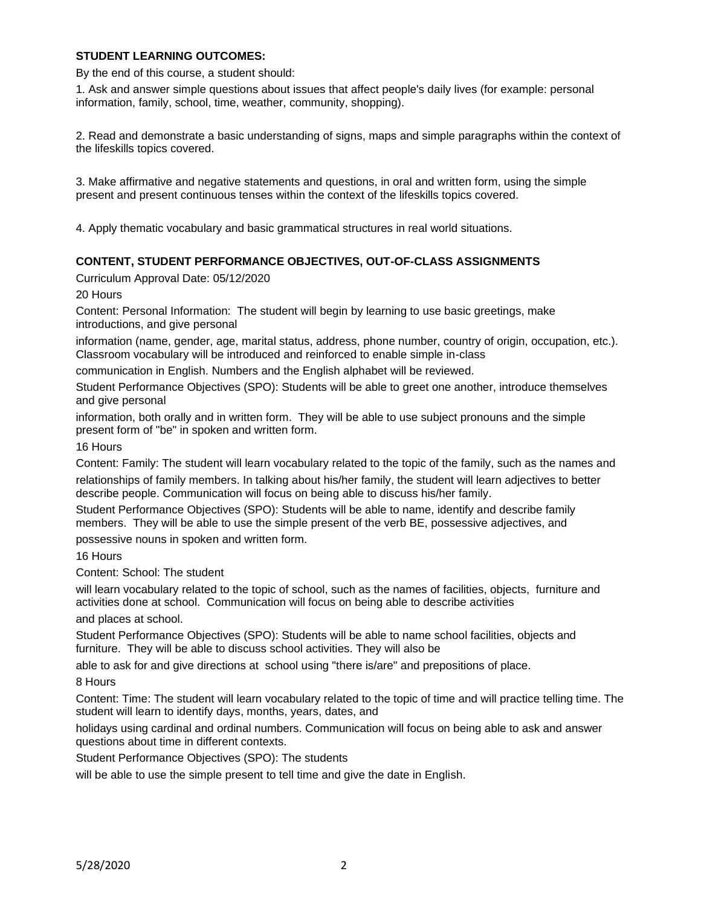### **STUDENT LEARNING OUTCOMES:**

By the end of this course, a student should:

1. Ask and answer simple questions about issues that affect people's daily lives (for example: personal information, family, school, time, weather, community, shopping).

2. Read and demonstrate a basic understanding of signs, maps and simple paragraphs within the context of the lifeskills topics covered.

3. Make affirmative and negative statements and questions, in oral and written form, using the simple present and present continuous tenses within the context of the lifeskills topics covered.

4. Apply thematic vocabulary and basic grammatical structures in real world situations.

### **CONTENT, STUDENT PERFORMANCE OBJECTIVES, OUT-OF-CLASS ASSIGNMENTS**

Curriculum Approval Date: 05/12/2020

20 Hours

Content: Personal Information: The student will begin by learning to use basic greetings, make introductions, and give personal

information (name, gender, age, marital status, address, phone number, country of origin, occupation, etc.). Classroom vocabulary will be introduced and reinforced to enable simple in-class

communication in English. Numbers and the English alphabet will be reviewed.

Student Performance Objectives (SPO): Students will be able to greet one another, introduce themselves and give personal

information, both orally and in written form. They will be able to use subject pronouns and the simple present form of "be" in spoken and written form.

16 Hours

Content: Family: The student will learn vocabulary related to the topic of the family, such as the names and relationships of family members. In talking about his/her family, the student will learn adjectives to better describe people. Communication will focus on being able to discuss his/her family.

Student Performance Objectives (SPO): Students will be able to name, identify and describe family members. They will be able to use the simple present of the verb BE, possessive adjectives, and

possessive nouns in spoken and written form.

16 Hours

Content: School: The student

will learn vocabulary related to the topic of school, such as the names of facilities, objects, furniture and activities done at school. Communication will focus on being able to describe activities

and places at school.

Student Performance Objectives (SPO): Students will be able to name school facilities, objects and furniture. They will be able to discuss school activities. They will also be

able to ask for and give directions at school using "there is/are" and prepositions of place.

8 Hours

Content: Time: The student will learn vocabulary related to the topic of time and will practice telling time. The student will learn to identify days, months, years, dates, and

holidays using cardinal and ordinal numbers. Communication will focus on being able to ask and answer questions about time in different contexts.

Student Performance Objectives (SPO): The students

will be able to use the simple present to tell time and give the date in English.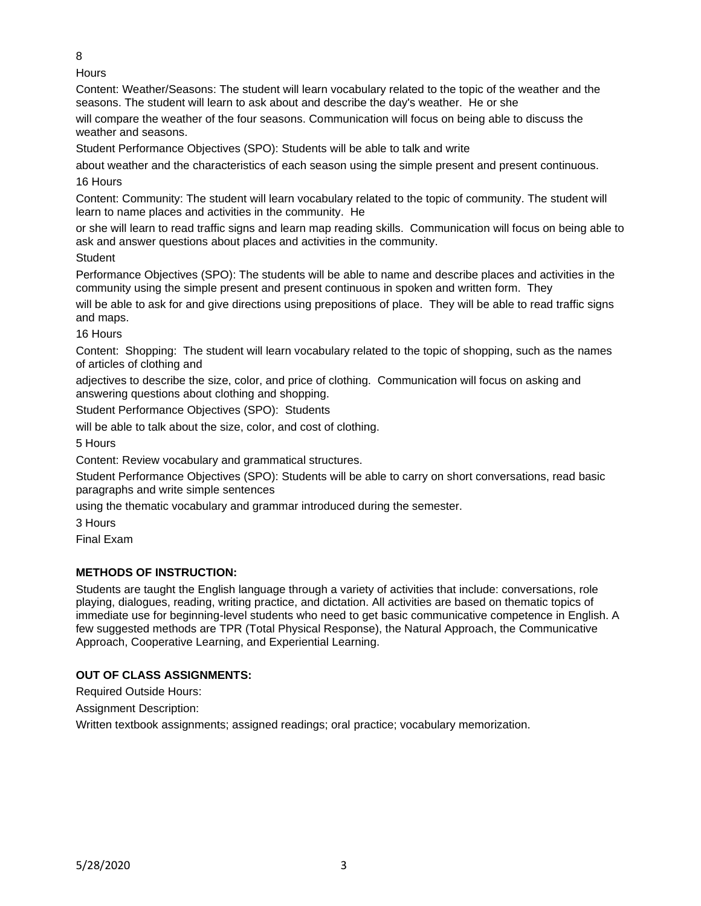8

**Hours** 

Content: Weather/Seasons: The student will learn vocabulary related to the topic of the weather and the seasons. The student will learn to ask about and describe the day's weather. He or she

will compare the weather of the four seasons. Communication will focus on being able to discuss the weather and seasons.

Student Performance Objectives (SPO): Students will be able to talk and write

about weather and the characteristics of each season using the simple present and present continuous. 16 Hours

Content: Community: The student will learn vocabulary related to the topic of community. The student will learn to name places and activities in the community. He

or she will learn to read traffic signs and learn map reading skills. Communication will focus on being able to ask and answer questions about places and activities in the community.

**Student** 

Performance Objectives (SPO): The students will be able to name and describe places and activities in the community using the simple present and present continuous in spoken and written form. They

will be able to ask for and give directions using prepositions of place. They will be able to read traffic signs and maps.

16 Hours

Content: Shopping: The student will learn vocabulary related to the topic of shopping, such as the names of articles of clothing and

adjectives to describe the size, color, and price of clothing. Communication will focus on asking and answering questions about clothing and shopping.

Student Performance Objectives (SPO): Students

will be able to talk about the size, color, and cost of clothing.

5 Hours

Content: Review vocabulary and grammatical structures.

Student Performance Objectives (SPO): Students will be able to carry on short conversations, read basic paragraphs and write simple sentences

using the thematic vocabulary and grammar introduced during the semester.

3 Hours

Final Exam

# **METHODS OF INSTRUCTION:**

Students are taught the English language through a variety of activities that include: conversations, role playing, dialogues, reading, writing practice, and dictation. All activities are based on thematic topics of immediate use for beginning-level students who need to get basic communicative competence in English. A few suggested methods are TPR (Total Physical Response), the Natural Approach, the Communicative Approach, Cooperative Learning, and Experiential Learning.

# **OUT OF CLASS ASSIGNMENTS:**

Required Outside Hours:

Assignment Description:

Written textbook assignments; assigned readings; oral practice; vocabulary memorization.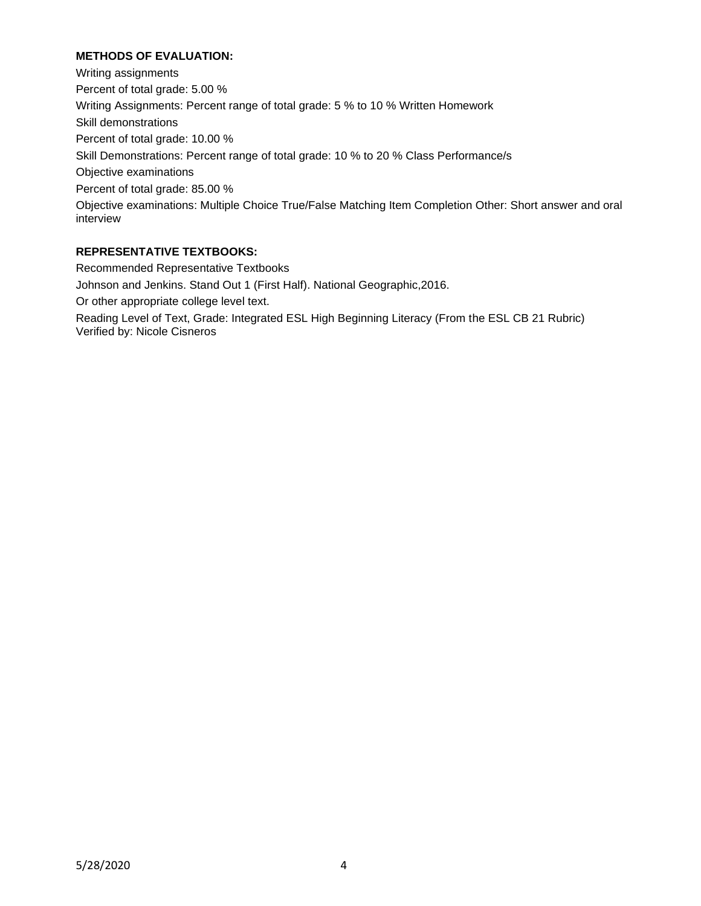# **METHODS OF EVALUATION:**

Writing assignments Percent of total grade: 5.00 % Writing Assignments: Percent range of total grade: 5 % to 10 % Written Homework Skill demonstrations Percent of total grade: 10.00 % Skill Demonstrations: Percent range of total grade: 10 % to 20 % Class Performance/s Objective examinations Percent of total grade: 85.00 % Objective examinations: Multiple Choice True/False Matching Item Completion Other: Short answer and oral interview

# **REPRESENTATIVE TEXTBOOKS:**

Recommended Representative Textbooks Johnson and Jenkins. Stand Out 1 (First Half). National Geographic,2016. Or other appropriate college level text. Reading Level of Text, Grade: Integrated ESL High Beginning Literacy (From the ESL CB 21 Rubric) Verified by: Nicole Cisneros